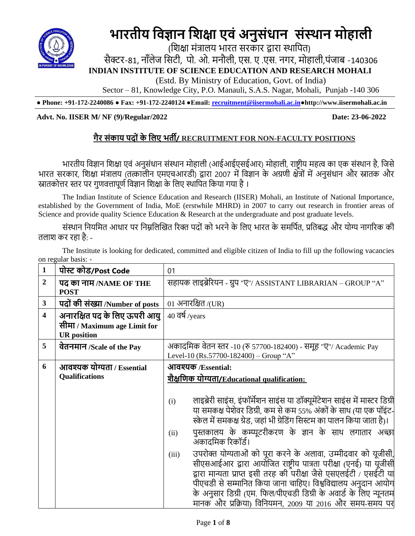

# **भारतीय विज्ञान विक्षा एिं अनुसंधान संस्थान मोहाली**

 (शिक्षा मंत्रालय भारत सरकार द्वारा स्थाशित) सैक्टर-81, नॉलेज सिटी, पो. ओ. मनौली, एस. ए .एस. नगर, मोहाली,पंजाब -140306 **INDIAN INSTITUTE OF SCIENCE EDUCATION AND RESEARCH MOHALI** (Estd. By Ministry of Education, Govt. of India)

Sector – 81, Knowledge City, P.O. Manauli, S.A.S. Nagar, Mohali, Punjab -140 306

**● Phone: +91-172-2240086 ● Fax: +91-172-2240124 ●Email: [recruitment@iisermohali.ac.in](mailto:recruitment@iisermohali.ac.in)[●http://www.](http://www/)iisermohali.ac.in**

## **Advt. No. IISER M/ NF (9)/Regular/2022 Date: 23-06-2022**

# **गैर संकाय पद ंके लिए भर्ती/ RECRUITMENT FOR NON-FACULTY POSITIONS**

भारतीय विज्ञान विक्षा एिं अनुसंधान संस्थान मोहाली (आईआईएसईआर) मोहाली, राष्ट्रीय महत्व का एक संस्थान है, विसे भारत सरकार, शिक्षा मंत्रालय (तत्कालीन एमएचआरडी) द्वारा 2007 में विज्ञान के अग्रणी क्षेत्रों में अनुसंधान और स्नातक और स्नातकोत्तर स्तर पर गणवत्तापर्ण विज्ञान शिक्षा के लिए स्थापित किया गया है ।

The Indian Institute of Science Education and Research (IISER) Mohali, an Institute of National Importance, established by the Government of India, MoE (erstwhile MHRD) in 2007 to carry out research in frontier areas of Science and provide quality Science Education & Research at the undergraduate and post graduate levels.

संस्थान नियमित आधार पर निम्नलिखित रिक्त पदों को भरने के लिए भारत के समर्पित. प्रतिबद्ध और योग्य नागरिक की तलाश कर रहा है: -

The Institute is looking for dedicated, committed and eligible citizen of India to fill up the following vacancies on regular basis: -

| 1            | पोस्ट कोड/Post Code                                 | 01                                                                                                                                                                                                                                                                                                                                                                                                                                                                                                                                                                                                                                                                                                                                                                                                             |
|--------------|-----------------------------------------------------|----------------------------------------------------------------------------------------------------------------------------------------------------------------------------------------------------------------------------------------------------------------------------------------------------------------------------------------------------------------------------------------------------------------------------------------------------------------------------------------------------------------------------------------------------------------------------------------------------------------------------------------------------------------------------------------------------------------------------------------------------------------------------------------------------------------|
| 2            | पद का नाम /NAME OF THE<br><b>POST</b>               | सहायक लाइब्रेरियन - ग्रुप "ए"/ ASSISTANT LIBRARIAN – GROUP "A"                                                                                                                                                                                                                                                                                                                                                                                                                                                                                                                                                                                                                                                                                                                                                 |
| $\mathbf{3}$ | पदों की संख्या /Number of posts                     | 01 अनारक्षित/(UR)                                                                                                                                                                                                                                                                                                                                                                                                                                                                                                                                                                                                                                                                                                                                                                                              |
| 4            | अनारक्षित पद के लिए ऊपरी आयु                        | $40$ $\overline{q}$ $\overline{q}$ /years                                                                                                                                                                                                                                                                                                                                                                                                                                                                                                                                                                                                                                                                                                                                                                      |
|              | सीमा / Maximum age Limit for<br><b>UR</b> position  |                                                                                                                                                                                                                                                                                                                                                                                                                                                                                                                                                                                                                                                                                                                                                                                                                |
| 5            | वेतनमान /Scale of the Pay                           | अकादमिक वेतन स्तर -10 (रु 57700-182400) - समूह "ए"/ Academic Pay<br>Level-10 (Rs.57700-182400) – Group "A"                                                                                                                                                                                                                                                                                                                                                                                                                                                                                                                                                                                                                                                                                                     |
| 6            | आवश्यक योग्यता / Essential<br><b>Qualifications</b> | आवश्यक /Essential:<br>शैक्षणिक योग्यता/Educational qualification:<br>लाइब्रेरी साइंस, इंफॉर्मेशन साइंस या डॉक्यूमेंटेशन साइंस में मास्टर डिग्री<br>(i)<br>या समकक्ष पेशेवर डिग्री, कम से कम 55% अंकों के साथ (या एक पॉइंट-<br>स्केल में समकक्ष ग्रेड, जहां भी ग्रेडिंग सिस्टम का पालन किया जाता है)।<br>पुस्तकालय के कम्प्यूटरीकरण के ज्ञान के साथ लगातार अच्छा<br>(ii)<br>अकादमिक रिकॉर्ड।<br>उपरोक्त योग्यताओं को पूरा करने के अलावा, उम्मीदवार को यूजीसी,<br>(iii)<br>सीएसआईआर द्वारा आयोजित राष्ट्रीय पात्रता परीक्षा (एनई) या यूंजीसी<br>द्वारा मान्यता प्राप्त इसी तरह की परीक्षा जैसे एसएलईटी / एसईटी या<br>पीएचडी से सम्मानित किया जाना चाहिए। विश्वविद्यालय अनुदान आयोग<br>के अनुसार डिग्री (एम. फिल/पीएचडी डिग्री के अवार्ड के लिए न्यूनतम<br>मानक और प्रक्रिया) विनियमन, 2009 या 2016 और समय-समय पर |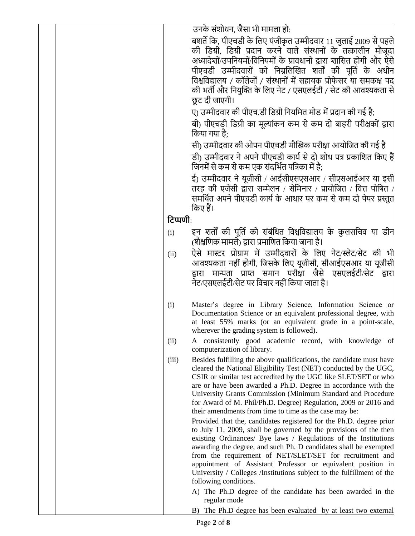|  |                  | उनके संशोधन, जैसा भी मामला हो:                                                                                                                                                                |
|--|------------------|-----------------------------------------------------------------------------------------------------------------------------------------------------------------------------------------------|
|  |                  | बशर्ते कि, पीएचडी के लिए पंजीकृत उम्मीदवार 11 जुलाई 2009 से पहले                                                                                                                              |
|  |                  | की डिग्री, डिग्री प्रदान करने वाले संस्थानों के तत्कालीन मौजूदा                                                                                                                               |
|  |                  | अध्यादेशों/उपनियमों/विनियमों के प्रावधानों द्वारा शासित होगी और ऐसे                                                                                                                           |
|  |                  | पीएचडी उम्मीदवारों को निम्नलिखित शर्तों की पूर्ति के अधीन                                                                                                                                     |
|  |                  | विश्वविद्यालय / कॉलेजों / संस्थानों में सहायक प्रोफेसर या समकक्ष पद                                                                                                                           |
|  |                  | की भर्ती और नियुक्ति के लिए नेट / एसएलईटी / सेट की आवश्यकता से                                                                                                                                |
|  |                  | छूट दी जाएगी।                                                                                                                                                                                 |
|  |                  | ए) उम्मीदवार की पीएच.डी डिग्री नियमित मोड में प्रदान की गई है;                                                                                                                                |
|  |                  | बी) पीएचडी डिग्री का मूल्यांकन कम से कम दो बाहरी परीक्षकों द्वारा<br>किया गया है:                                                                                                             |
|  |                  | सी) उम्मीदवार की ओपन पीएचडी मौखिक परीक्षा आयोजित की गई है                                                                                                                                     |
|  |                  | डी) उम्मीदवार ने अपने पीएचडी कार्य से दो शोध पत्र प्रकाशित किए हैं<br>जिनमें से कम से कम एक संदर्भित पत्रिका में है;                                                                          |
|  |                  | ई) उम्मीदवार ने यूजीसी / आईसीएसएसआर / सीएसआईआर या इसी<br>तरह की एजेंसी द्वारा सम्मेलन / सेमिनार / प्रायोजित / वित्त पोषित /<br>समर्थित अपने पीएचडी कार्य के आधार पर कम से कम दो पेपर प्रस्तुत |
|  |                  | किए हैं।                                                                                                                                                                                      |
|  | <b>टिप्पणी</b> : |                                                                                                                                                                                               |
|  | (i)              | इन शर्तों की पूर्ति को संबंधित विश्वविद्यालय के कुलसचिव या डीन                                                                                                                                |
|  |                  | (शैक्षणिक मामले) द्वारा प्रमाणित किया जाना है।                                                                                                                                                |
|  | (ii)             | ऐसे मास्टर प्रोग्राम में उम्मीदवारों के लिए नेट/स्लेट/सेट की भी                                                                                                                               |
|  |                  | आवश्यकता नहीं होगी, जिसके लिए यूजीसी, सीआईएसआर या यूजीसी                                                                                                                                      |
|  |                  | द्वारा मान्यता प्राप्त समान परीक्षा जैसे एसएलईटी/सेट द्वारा                                                                                                                                   |
|  |                  | नेट/एसएलईटी/सेट पर विचार नहीं किया जाता है।                                                                                                                                                   |
|  | (i)              | Master's degree in Library Science, Information Science or                                                                                                                                    |
|  |                  | Documentation Science or an equivalent professional degree, with                                                                                                                              |
|  |                  | at least 55% marks (or an equivalent grade in a point-scale,                                                                                                                                  |
|  |                  | wherever the grading system is followed).                                                                                                                                                     |
|  | (ii)             | A consistently good academic record, with knowledge of<br>computerization of library.                                                                                                         |
|  | (iii)            | Besides fulfilling the above qualifications, the candidate must have<br>cleared the National Eligibility Test (NET) conducted by the UGC,                                                     |
|  |                  | CSIR or similar test accredited by the UGC like SLET/SET or who                                                                                                                               |
|  |                  | are or have been awarded a Ph.D. Degree in accordance with the                                                                                                                                |
|  |                  | University Grants Commission (Minimum Standard and Procedure                                                                                                                                  |
|  |                  | for Award of M. Phil/Ph.D. Degree) Regulation, 2009 or 2016 and                                                                                                                               |
|  |                  | their amendments from time to time as the case may be:                                                                                                                                        |
|  |                  | Provided that the, candidates registered for the Ph.D. degree prior                                                                                                                           |
|  |                  | to July 11, 2009, shall be governed by the provisions of the then                                                                                                                             |
|  |                  | existing Ordinances/ Bye laws / Regulations of the Institutions<br>awarding the degree, and such Ph. D candidates shall be exempted                                                           |
|  |                  | from the requirement of NET/SLET/SET for recruitment and                                                                                                                                      |
|  |                  | appointment of Assistant Professor or equivalent position in                                                                                                                                  |
|  |                  | University / Colleges /Institutions subject to the fulfillment of the                                                                                                                         |
|  |                  | following conditions.                                                                                                                                                                         |
|  |                  | A) The Ph.D degree of the candidate has been awarded in the<br>regular mode                                                                                                                   |
|  |                  | B) The Ph.D degree has been evaluated by at least two external                                                                                                                                |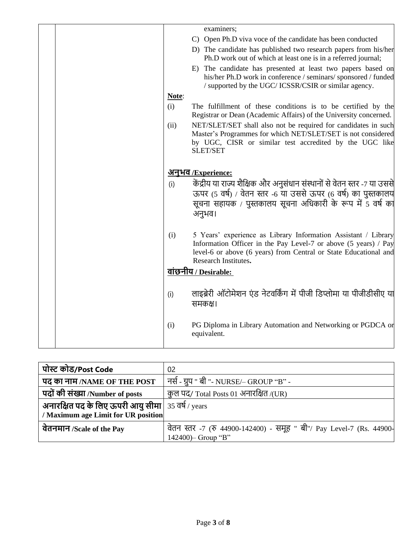|       | examiners;                                                                                                                                                                                                                    |
|-------|-------------------------------------------------------------------------------------------------------------------------------------------------------------------------------------------------------------------------------|
|       | C) Open Ph.D viva voce of the candidate has been conducted                                                                                                                                                                    |
|       | D) The candidate has published two research papers from his/her<br>Ph.D work out of which at least one is in a referred journal;                                                                                              |
|       | E) The candidate has presented at least two papers based on<br>his/her Ph.D work in conference / seminars/ sponsored / funded<br>/ supported by the UGC/ ICSSR/CSIR or similar agency.                                        |
| Note: |                                                                                                                                                                                                                               |
| (i)   | The fulfillment of these conditions is to be certified by the<br>Registrar or Dean (Academic Affairs) of the University concerned.                                                                                            |
| (ii)  | NET/SLET/SET shall also not be required for candidates in such<br>Master's Programmes for which NET/SLET/SET is not considered<br>by UGC, CISR or similar test accredited by the UGC like<br><b>SLET/SET</b>                  |
|       | <u>अनुभव/Experience:</u>                                                                                                                                                                                                      |
| (i)   | केंद्रीय या राज्य शैक्षिक और अनुसंधान संस्थानों से वेतन स्तर -7 या उससे<br>ऊपर (5 वर्ष) / वेतन स्तर -6 या उससे ऊपर (6 वर्ष) का पुस्तकालय<br>सूचना सहायक / पुस्तकालय सूचना अधिकारी के रूप में 5 वर्ष का<br>अनुभव।              |
| (i)   | 5 Years' experience as Library Information Assistant / Library<br>Information Officer in the Pay Level-7 or above (5 years) / Pay<br>level-6 or above (6 years) from Central or State Educational and<br>Research Institutes. |
|       | <u>वांछनीय / Desirable:</u>                                                                                                                                                                                                   |
| (i)   | लाइब्रेरी ऑटोमेशन एंड नेटवर्किंग में पीजी डिप्लोमा या पीजीडीसीए या<br>समकक्ष।                                                                                                                                                 |
| (i)   | PG Diploma in Library Automation and Networking or PGDCA or<br>equivalent.                                                                                                                                                    |

| पोस्ट कोड/Post Code                                        | 02                                                                   |
|------------------------------------------------------------|----------------------------------------------------------------------|
| पद का नाम /NAME OF THE POST                                | नर्स - ग्रुप " बी "- NURSE/– GROUP "B" -                             |
| पदों की संख्या /Number of posts                            | कुल पद/ Total Posts 01 अनारक्षित /(UR)                               |
| <b>अनारक्षित पद के लिए ऊपरी आयु सीमा</b>   35 वर्ष / years |                                                                      |
| / Maximum age Limit for UR position                        |                                                                      |
| वेतनमान /Scale of the Pay                                  | वेतन स्तर -7 (रु 44900-142400) - समूह " बी"/ Pay Level-7 (Rs. 44900- |
|                                                            | 142400) – Group "B"                                                  |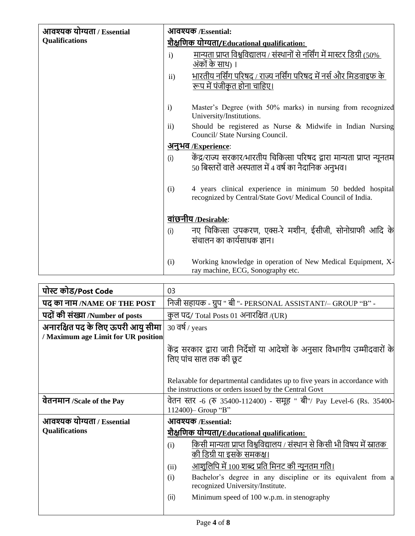| आवश्यक योग्यता / Essential | आवश्यक /Essential:                                 |                                                                                                                                  |  |
|----------------------------|----------------------------------------------------|----------------------------------------------------------------------------------------------------------------------------------|--|
| <b>Qualifications</b>      | <u>शैक्षणिक योग्यता/Educational qualification:</u> |                                                                                                                                  |  |
|                            | $\mathbf{i}$                                       | <u>मान्यता प्राप्त विश्वविद्यालय / संस्थानों से नर्सिंग में मास्टर डिग्री (50%)</u><br>अंकों के साथ) ।                           |  |
|                            | ii)                                                | भारतीय नर्सिंग परिषद / राज्य नर्सिंग परिषद में नर्स और मिडवाइफ के<br><u>रूप में पंजीकृत होना चाहिए।</u>                          |  |
|                            |                                                    |                                                                                                                                  |  |
|                            | $\mathbf{i}$                                       | Master's Degree (with 50% marks) in nursing from recognized<br>University/Institutions.                                          |  |
|                            | $\rm ii)$                                          | Should be registered as Nurse $\&$ Midwife in Indian Nursing<br>Council/ State Nursing Council.                                  |  |
|                            | <u>अनुभव /Experience:</u>                          |                                                                                                                                  |  |
|                            | (i)                                                | केंद्र/राज्य सरकार/भारतीय चिकित्सा परिषद द्वारा मान्यता प्राप्त न्यूनतम<br>50 बिस्तरों वाले अस्पताल में 4 वर्ष का नैदानिक अनुभव। |  |
|                            | (i)                                                | 4 years clinical experience in minimum 50 bedded hospital<br>recognized by Central/State Govt/ Medical Council of India.         |  |
|                            |                                                    | वांछनीय /Desirable:                                                                                                              |  |
|                            | (i)                                                | नए चिकित्सा उपकरण, एक्स-रे मशीन, ईसीजी, सोनोग्राफी आदि के<br>संचालन का कार्यसाधक ज्ञान।                                          |  |
|                            | (i)                                                | Working knowledge in operation of New Medical Equipment, X-<br>ray machine, ECG, Sonography etc.                                 |  |

| पोस्ट कोड/Post Code                 | 03                                                                                                                                 |  |  |
|-------------------------------------|------------------------------------------------------------------------------------------------------------------------------------|--|--|
| पद का नाम/NAME OF THE POST          | निजी सहायक - ग्रुप " बी "- PERSONAL ASSISTANT/- GROUP "B" -                                                                        |  |  |
| पदों की संख्या /Number of posts     | कुल पद/ Total Posts 01 अनारक्षित /(UR)                                                                                             |  |  |
| अनारक्षित पद के लिए ऊपरी आयु सीमा   | $30$ वर्ष / years                                                                                                                  |  |  |
| / Maximum age Limit for UR position |                                                                                                                                    |  |  |
|                                     | केंद्र सरकार द्वारा जारी निर्देशों या आदेशों के अनुसार विभागीय उम्मीदवारों के<br>लिए पांच साल तक की छूट                            |  |  |
|                                     | Relaxable for departmental candidates up to five years in accordance with<br>the instructions or orders issued by the Central Govt |  |  |
| वेतनमान /Scale of the Pay           | वेतन स्तर -6 (रु 35400-112400) - समूह " बी"/ Pay Level-6 (Rs. 35400-<br>112400) – Group "B"                                        |  |  |
| आवश्यक योग्यता / Essential          | आवश्यक /Essential:                                                                                                                 |  |  |
| <b>Qualifications</b>               | शैक्ष <u>णिक योग्यता/Educational qualification:</u>                                                                                |  |  |
|                                     | किसी मान्यता प्राप्त विश्वविद्यालय / संस्थान से किसी भी विषय में स्नातक<br>(i)<br>की डिग्री या इसके समकक्ष।                        |  |  |
|                                     | <u>आशुलिपि में 100 शब्द प्रति मिनट की न्यूनतम गति।</u><br>(ii)                                                                     |  |  |
|                                     | Bachelor's degree in any discipline or its equivalent from a<br>(i)<br>recognized University/Institute.                            |  |  |
|                                     | (ii)<br>Minimum speed of 100 w.p.m. in stenography                                                                                 |  |  |
|                                     |                                                                                                                                    |  |  |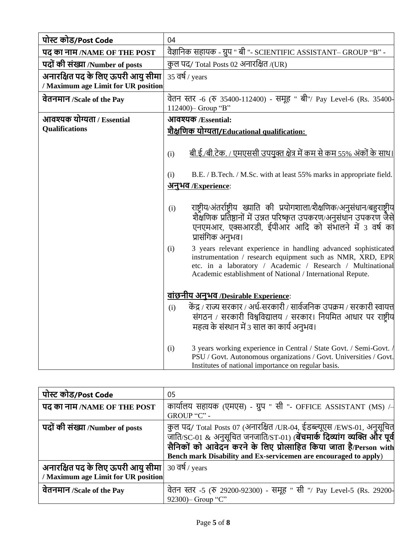| पोस्ट कोड/Post Code                                                      | 04                                                                                                                                                                                                                                                              |  |  |
|--------------------------------------------------------------------------|-----------------------------------------------------------------------------------------------------------------------------------------------------------------------------------------------------------------------------------------------------------------|--|--|
| पद का नाम/NAME OF THE POST                                               | वैज्ञानिक सहायक - ग्रुप " बी "- SCIENTIFIC ASSISTANT– GROUP "B" -                                                                                                                                                                                               |  |  |
| पदों की संख्या /Number of posts                                          | कुल पद/ Total Posts 02 अनारक्षित /(UR)                                                                                                                                                                                                                          |  |  |
| अनारक्षित पद के लिए ऊपरी आयु सीमा<br>/ Maximum age Limit for UR position | $35$ $\overline{q}$ \, years                                                                                                                                                                                                                                    |  |  |
| वेतनमान /Scale of the Pay                                                | वेतन स्तर -6 (रु 35400-112400) - समूह " बी"/ Pay Level-6 (Rs. 35400-<br>112400) - Group "B"                                                                                                                                                                     |  |  |
| आवश्यक योग्यता / Essential                                               | आवश्यक /Essential:                                                                                                                                                                                                                                              |  |  |
| Qualifications                                                           | <u>शैक्षणिक योग्यता/Educational qualification:</u>                                                                                                                                                                                                              |  |  |
|                                                                          | बी.ई./बी.टेक. / एमएससी उपयुक्त क्षेत्र में कम से कम 55% अंकों के साथ।<br>(i)                                                                                                                                                                                    |  |  |
|                                                                          | B.E. / B.Tech. / M.Sc. with at least 55% marks in appropriate field.<br>(i)                                                                                                                                                                                     |  |  |
|                                                                          | <u>अनुभव /Experience:</u>                                                                                                                                                                                                                                       |  |  |
|                                                                          | राष्ट्रीय/अंतर्राष्ट्रीय ख्याति की प्रयोगशाला/शैक्षणिक/अनुसंधान/बहुराष्टीय<br>(i)<br>शैक्षणिक प्रतिष्ठानों में उन्नत परिष्कृत उपकरण/अनुसंधान उपकरण जैसे<br>एनएमआर, एक्सआरडी, ईपीआर आदि को संभालने में 3 वर्ष का<br>प्रासंगिक अनुभव।                             |  |  |
|                                                                          | 3 years relevant experience in handling advanced sophisticated<br>(i)<br>instrumentation / research equipment such as NMR, XRD, EPR<br>etc. in a laboratory / Academic / Research / Multinational<br>Academic establishment of National / International Repute. |  |  |
|                                                                          | <u>वांछनीय अनुभव /Desirable Experience:</u>                                                                                                                                                                                                                     |  |  |
|                                                                          | केंद्र / राज्य सरकार / अर्ध-सरकारी / सार्वजनिक उपक्रम / सरकारी स्वायत्त<br>(i)<br>संगठन / सरकारी विश्वविद्यालय / सरकार। नियमित आधार पर राष्ट्रीय<br>महत्व के संस्थान में 3 साल का कार्य अनुभव।                                                                  |  |  |
|                                                                          | 3 years working experience in Central / State Govt. / Semi-Govt. /<br>(i)<br>PSU / Govt. Autonomous organizations / Govt. Universities / Govt.<br>Institutes of national importance on regular basis.                                                           |  |  |

| पोस्ट कोड/Post Code                                                        | 05                                                                                                                                                                                                                                                                                                   |
|----------------------------------------------------------------------------|------------------------------------------------------------------------------------------------------------------------------------------------------------------------------------------------------------------------------------------------------------------------------------------------------|
| पद का नाम /NAME OF THE POST                                                | कार्यालय सहायक (एमएस) - ग्रुप " सी "- OFFICE ASSISTANT (MS) / $\rightarrow$<br>GROUP "C" -                                                                                                                                                                                                           |
| पदों की संख्या /Number of posts                                            | कुल पद/ Total Posts 07 (अनारक्षित /UR-04, ईडब्ल्यूएस /EWS-01, अनुसूचित<br>ज़ाति/SC-01 & अनुसूचित जनजाति/ST-01) ( <b>बेंचमार्क दिव्यांग व्यक्ति और पूर्व</b><br>सैनिकों को आवेदन करने के लिए प्रोत्साहित किया जाता है/Person with<br>Bench mark Disability and Ex-servicemen are encouraged to apply) |
| अनारक्षित पद के लिए ऊपरी आयु सीमा  <br>/ Maximum age Limit for UR position | 30 वर्ष / years                                                                                                                                                                                                                                                                                      |
| वेतनमान /Scale of the Pay                                                  | वेतन स्तर -5 (रु 29200-92300) - समूह " सी "/ Pay Level-5 (Rs. 29200-<br>92300)- Group "C"                                                                                                                                                                                                            |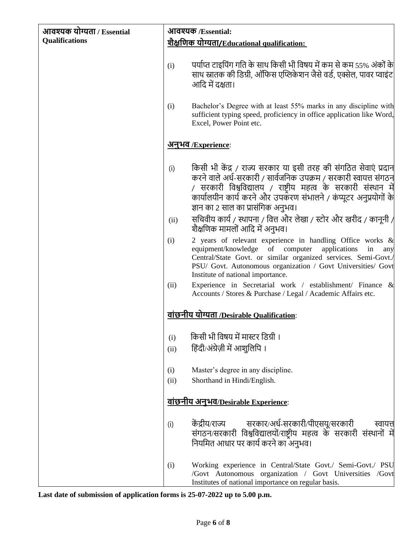| आवश्यक योग्यता / Essential |                                             | आवश्यक /Essential:                                                                                                                                                                                                                                                                                              |  |
|----------------------------|---------------------------------------------|-----------------------------------------------------------------------------------------------------------------------------------------------------------------------------------------------------------------------------------------------------------------------------------------------------------------|--|
| <b>Qualifications</b>      | शैक्षणिक योग्यता/Educational qualification: |                                                                                                                                                                                                                                                                                                                 |  |
|                            | (i)                                         | पर्याप्त टाइपिंग गति के साथ किसी भी विषय में कम से कम 55% अंकों के<br>साथ स्नातक की डिग्री, ऑफिस एप्लिकेशन जैसे वर्ड, एक्सेल, पावर प्वाइंट<br>आदि में दक्षता।                                                                                                                                                   |  |
|                            | (i)                                         | Bachelor's Degree with at least 55% marks in any discipline with<br>sufficient typing speed, proficiency in office application like Word,<br>Excel, Power Point etc.                                                                                                                                            |  |
|                            |                                             | <u>अनुभव /Experience:</u>                                                                                                                                                                                                                                                                                       |  |
|                            | (i)                                         | किसी भी केंद्र / राज्य सरकार या इसी तरह की संगठित सेवाएं प्रदान<br>करने वाले अर्ध-सरकारी / सार्वजनिक उपक्रम / सरकारी स्वायत्त संगठन<br>/ सरकारी विश्वविद्यालय / राष्ट्रीय महत्व के सरकारी संस्थान में<br>कार्यालयीन कार्य करने और उपकरण संभालने / कंप्यूटर अनुप्रयोगों के<br>ज्ञान का 2 साल का प्रासंगिक अनुभव। |  |
|                            | (ii)                                        | सचिवीय कार्य / स्थापना / वित्त और लेखा / स्टोर और खरीद / कानूनी /<br>शैक्षणिक मामलों आदि में अनुभव।                                                                                                                                                                                                             |  |
|                            | (i)                                         | 2 years of relevant experience in handling Office works &<br>of computer<br>applications<br>equipment/knowledge<br>in<br>any<br>Central/State Govt. or similar organized services. Semi-Govt./<br>PSU/ Govt. Autonomous organization / Govt Universities/ Govt<br>Institute of national importance.             |  |
|                            | (ii)                                        | Experience in Secretarial work / establishment/ Finance &<br>Accounts / Stores & Purchase / Legal / Academic Affairs etc.                                                                                                                                                                                       |  |
|                            |                                             | <u>वांछनीय योग्यता /Desirable Qualification</u> :                                                                                                                                                                                                                                                               |  |
|                            | (i)                                         | किसी भी विषय में मास्टर डिग्री ।                                                                                                                                                                                                                                                                                |  |
|                            | (ii)                                        | हिंदी/अंग्रेज़ी में आशुलिपि ।                                                                                                                                                                                                                                                                                   |  |
|                            | (i)<br>(ii)                                 | Master's degree in any discipline.<br>Shorthand in Hindi/English.                                                                                                                                                                                                                                               |  |
|                            |                                             | <u>वांछनीय अनुभव/Desirable Experience:</u>                                                                                                                                                                                                                                                                      |  |
|                            | (i)                                         | केंद्रीय/राज्य सरकार/अर्ध-सरकारी/पीएसयू/सरकारी<br>स्वायत्त<br>संगठन/सरकारी विश्वविद्यालयों/राष्ट्रीय महत्व के सरकारी संस्थानों में<br>नियमित आधार पर कार्य करने का अनुभव।                                                                                                                                       |  |
|                            | (i)                                         | Working experience in Central/State Govt./ Semi-Govt./ PSU<br>/Govt Autonomous organization / Govt Universities /Govt<br>Institutes of national importance on regular basis.                                                                                                                                    |  |

**Last date of submission of application forms is 25-07-2022 up to 5.00 p.m.**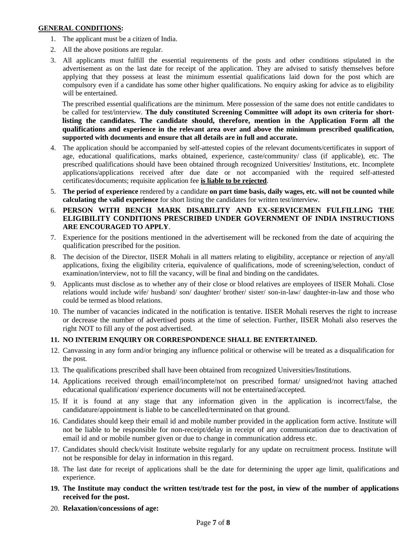#### **GENERAL CONDITIONS:**

- 1. The applicant must be a citizen of India.
- 2. All the above positions are regular.
- 3. All applicants must fulfill the essential requirements of the posts and other conditions stipulated in the advertisement as on the last date for receipt of the application. They are advised to satisfy themselves before applying that they possess at least the minimum essential qualifications laid down for the post which are compulsory even if a candidate has some other higher qualifications. No enquiry asking for advice as to eligibility will be entertained.

The prescribed essential qualifications are the minimum. Mere possession of the same does not entitle candidates to be called for test/interview. **The duly constituted Screening Committee will adopt its own criteria for shortlisting the candidates. The candidate should, therefore, mention in the Application Form all the qualifications and experience in the relevant area over and above the minimum prescribed qualification, supported with documents and ensure that all details are in full and accurate.**

- 4. The application should be accompanied by self-attested copies of the relevant documents/certificates in support of age, educational qualifications, marks obtained, experience, caste/community/ class (if applicable), etc. The prescribed qualifications should have been obtained through recognized Universities/ Institutions, etc. Incomplete applications/applications received after due date or not accompanied with the required self-attested certificates/documents; requisite application fee **is liable to be rejected**.
- 5. **The period of experience** rendered by a candidate **on part time basis, daily wages, etc. will not be counted while calculating the valid experience** for short listing the candidates for written test/interview.
- 6. **PERSON WITH BENCH MARK DISABILITY AND EX-SERVICEMEN FULFILLING THE ELIGIBILITY CONDITIONS PRESCRIBED UNDER GOVERNMENT OF INDIA INSTRUCTIONS ARE ENCOURAGED TO APPLY**.
- 7. Experience for the positions mentioned in the advertisement will be reckoned from the date of acquiring the qualification prescribed for the position.
- 8. The decision of the Director, IISER Mohali in all matters relating to eligibility, acceptance or rejection of any/all applications, fixing the eligibility criteria, equivalence of qualifications, mode of screening/selection, conduct of examination/interview, not to fill the vacancy, will be final and binding on the candidates.
- 9. Applicants must disclose as to whether any of their close or blood relatives are employees of IISER Mohali. Close relations would include wife/ husband/ son/ daughter/ brother/ sister/ son-in-law/ daughter-in-law and those who could be termed as blood relations.
- 10. The number of vacancies indicated in the notification is tentative. IISER Mohali reserves the right to increase or decrease the number of advertised posts at the time of selection. Further, IISER Mohali also reserves the right NOT to fill any of the post advertised.

## **11. NO INTERIM ENQUIRY OR CORRESPONDENCE SHALL BE ENTERTAINED.**

- 12. Canvassing in any form and/or bringing any influence political or otherwise will be treated as a disqualification for the post.
- 13. The qualifications prescribed shall have been obtained from recognized Universities/Institutions.
- 14. Applications received through email/incomplete/not on prescribed format/ unsigned/not having attached educational qualification/ experience documents will not be entertained/accepted.
- 15. If it is found at any stage that any information given in the application is incorrect/false, the candidature/appointment is liable to be cancelled/terminated on that ground.
- 16. Candidates should keep their email id and mobile number provided in the application form active. Institute will not be liable to be responsible for non-receipt/delay in receipt of any communication due to deactivation of email id and or mobile number given or due to change in communication address etc.
- 17. Candidates should check/visit Institute website regularly for any update on recruitment process. Institute will not be responsible for delay in information in this regard.
- 18. The last date for receipt of applications shall be the date for determining the upper age limit, qualifications and experience.
- **19. The Institute may conduct the written test/trade test for the post, in view of the number of applications received for the post.**
- 20. **Relaxation/concessions of age:**